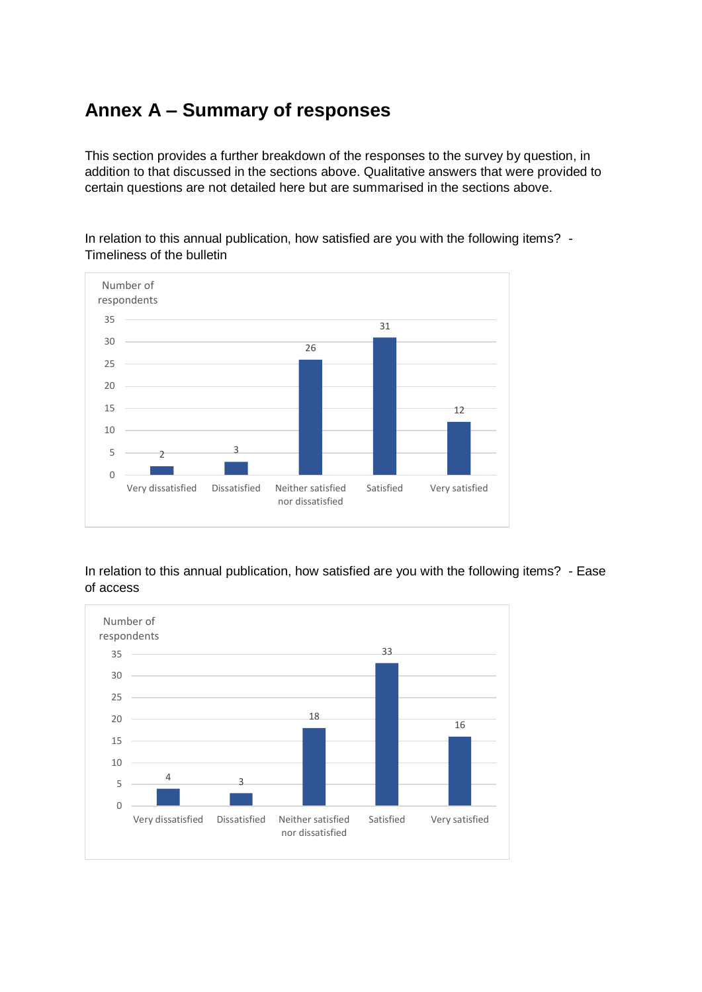## **Annex A – Summary of responses**

This section provides a further breakdown of the responses to the survey by question, in addition to that discussed in the sections above. Qualitative answers that were provided to certain questions are not detailed here but are summarised in the sections above.

In relation to this annual publication, how satisfied are you with the following items? - Timeliness of the bulletin



In relation to this annual publication, how satisfied are you with the following items? - Ease of access

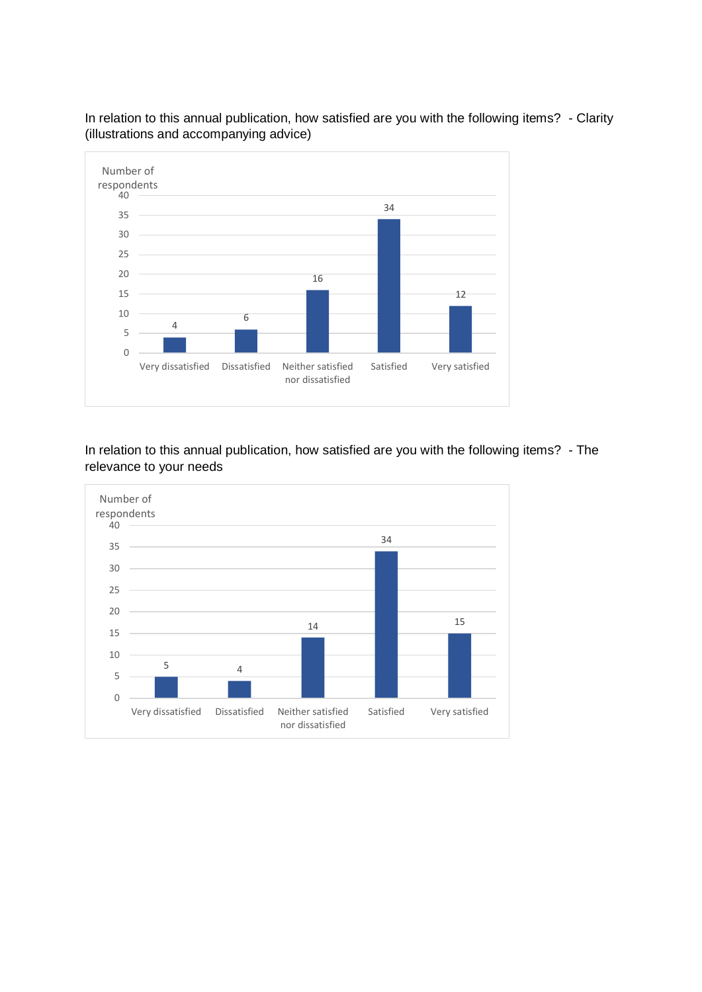

In relation to this annual publication, how satisfied are you with the following items? - Clarity (illustrations and accompanying advice)

In relation to this annual publication, how satisfied are you with the following items? - The relevance to your needs

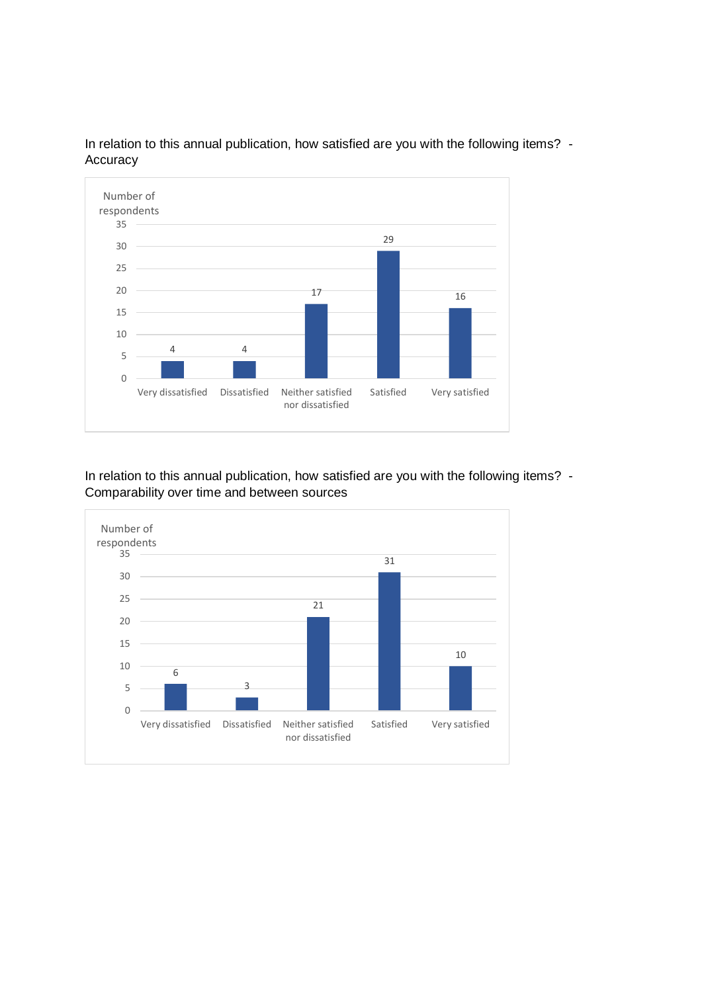

In relation to this annual publication, how satisfied are you with the following items? -Accuracy

In relation to this annual publication, how satisfied are you with the following items? -Comparability over time and between sources

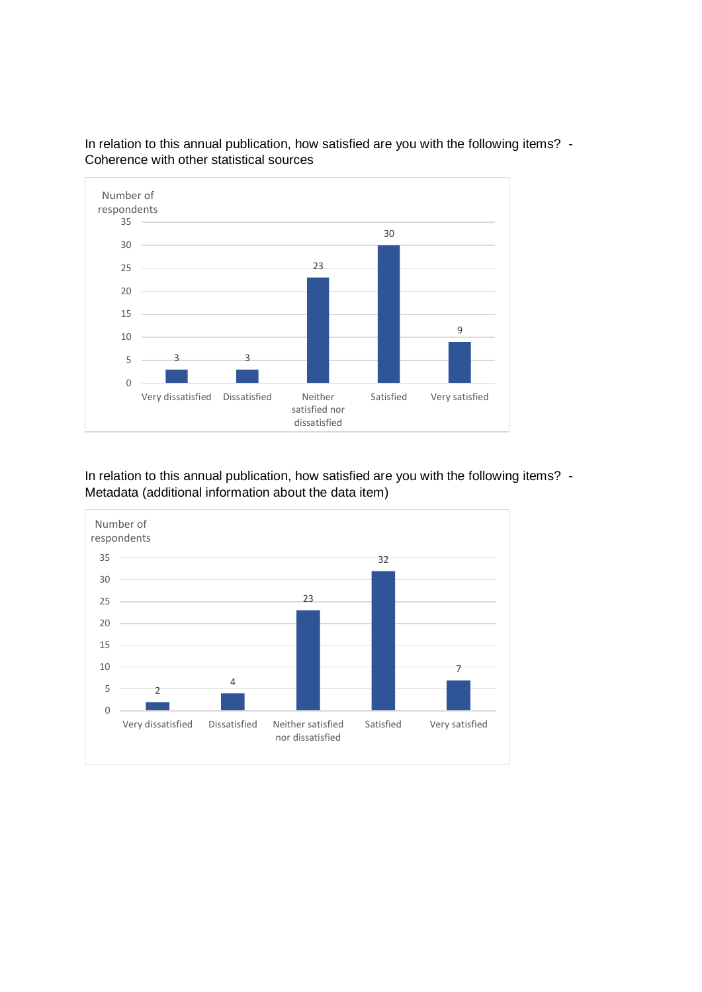

In relation to this annual publication, how satisfied are you with the following items? -Coherence with other statistical sources

In relation to this annual publication, how satisfied are you with the following items? -Metadata (additional information about the data item)

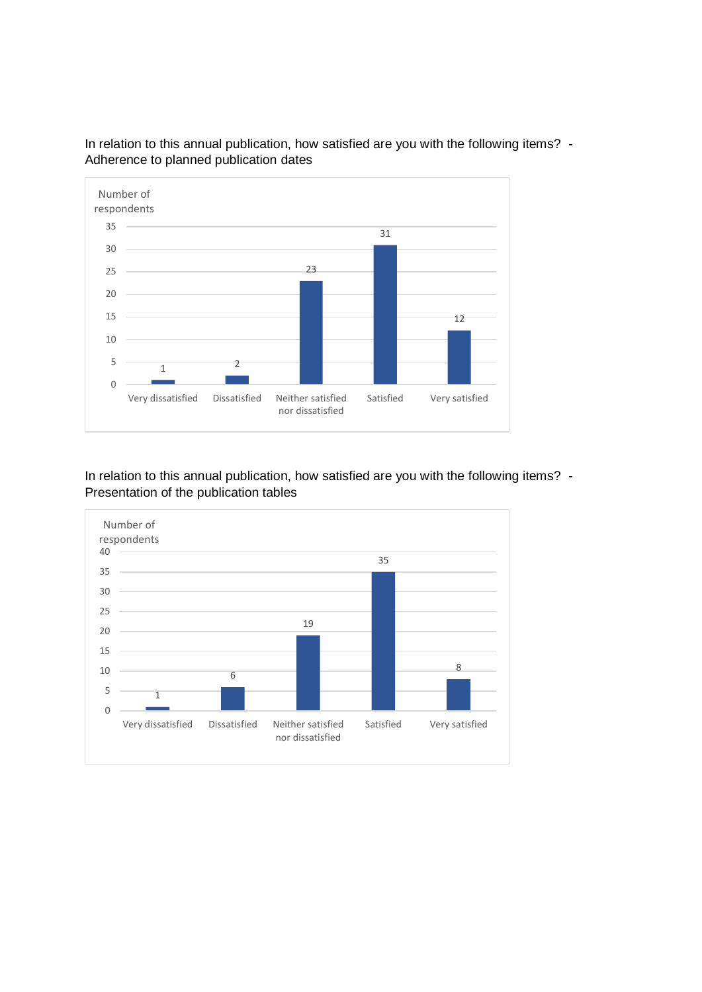

In relation to this annual publication, how satisfied are you with the following items? -Adherence to planned publication dates

## In relation to this annual publication, how satisfied are you with the following items? -Presentation of the publication tables

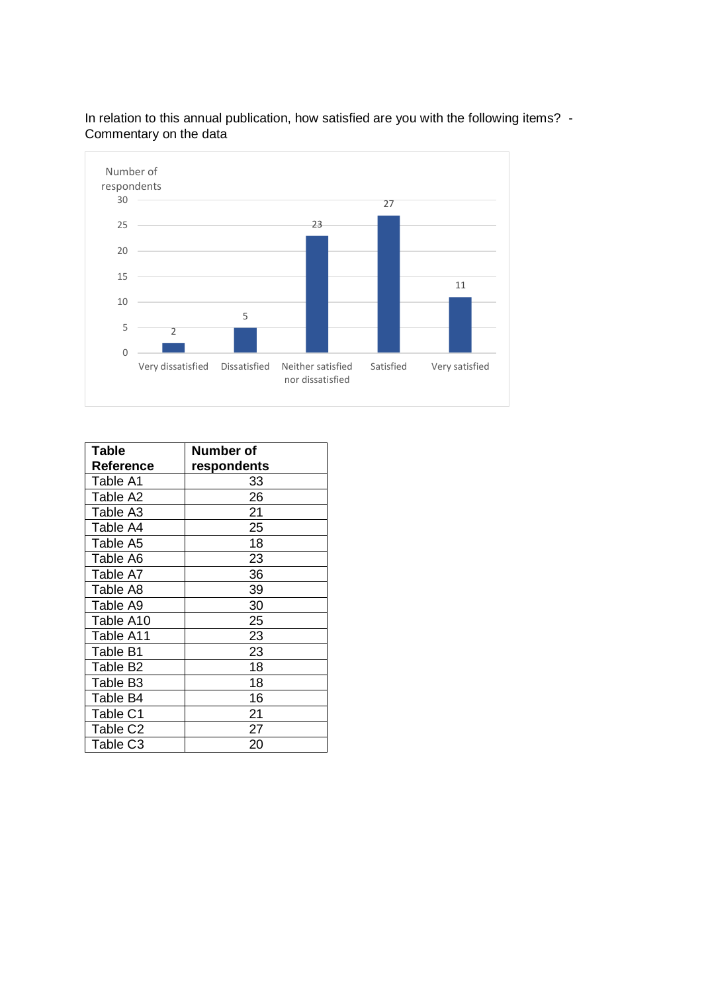

In relation to this annual publication, how satisfied are you with the following items? - Commentary on the data

| <b>Table</b>         | Number of   |
|----------------------|-------------|
| <b>Reference</b>     | respondents |
| Table A1             | 33          |
| Table A2             | 26          |
| Table A3             | 21          |
| Table A4             | 25          |
| Table A5             | 18          |
| Table A6             | 23          |
| Table A7             | 36          |
| Table A8             | 39          |
| Table A9             | 30          |
| Table A10            | 25          |
| Table A11            | 23          |
| Table B1             | 23          |
| Table B <sub>2</sub> | 18          |
| Table B <sub>3</sub> | 18          |
| Table B4             | 16          |
| Table C1             | 21          |
| Table C <sub>2</sub> | 27          |
| Table C3             | 20          |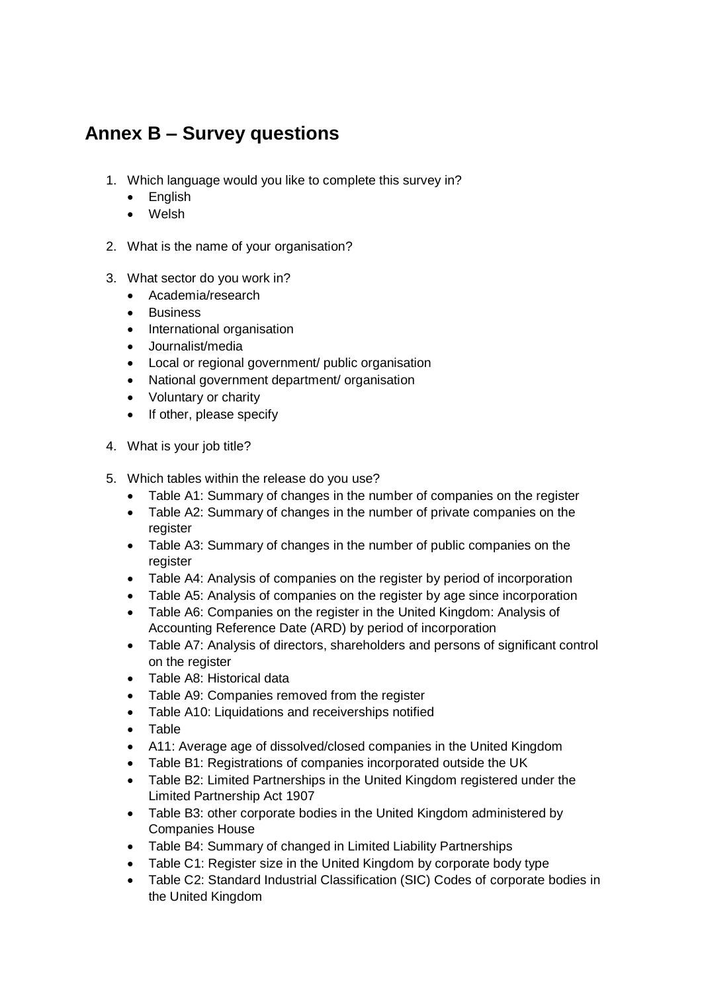## **Annex B – Survey questions**

- 1. Which language would you like to complete this survey in?
	- English
	- Welsh
- 2. What is the name of your organisation?
- 3. What sector do you work in?
	- Academia/research
	- Business
	- International organisation
	- Journalist/media
	- Local or regional government/ public organisation
	- National government department/ organisation
	- Voluntary or charity
	- If other, please specify
- 4. What is your job title?
- 5. Which tables within the release do you use?
	- Table A1: Summary of changes in the number of companies on the register
	- Table A2: Summary of changes in the number of private companies on the register
	- Table A3: Summary of changes in the number of public companies on the register
	- Table A4: Analysis of companies on the register by period of incorporation
	- Table A5: Analysis of companies on the register by age since incorporation
	- Table A6: Companies on the register in the United Kingdom: Analysis of Accounting Reference Date (ARD) by period of incorporation
	- Table A7: Analysis of directors, shareholders and persons of significant control on the register
	- Table A8: Historical data
	- Table A9: Companies removed from the register
	- Table A10: Liquidations and receiverships notified
	- Table
	- A11: Average age of dissolved/closed companies in the United Kingdom
	- Table B1: Registrations of companies incorporated outside the UK
	- Table B2: Limited Partnerships in the United Kingdom registered under the Limited Partnership Act 1907
	- Table B3: other corporate bodies in the United Kingdom administered by Companies House
	- Table B4: Summary of changed in Limited Liability Partnerships
	- Table C1: Register size in the United Kingdom by corporate body type
	- Table C2: Standard Industrial Classification (SIC) Codes of corporate bodies in the United Kingdom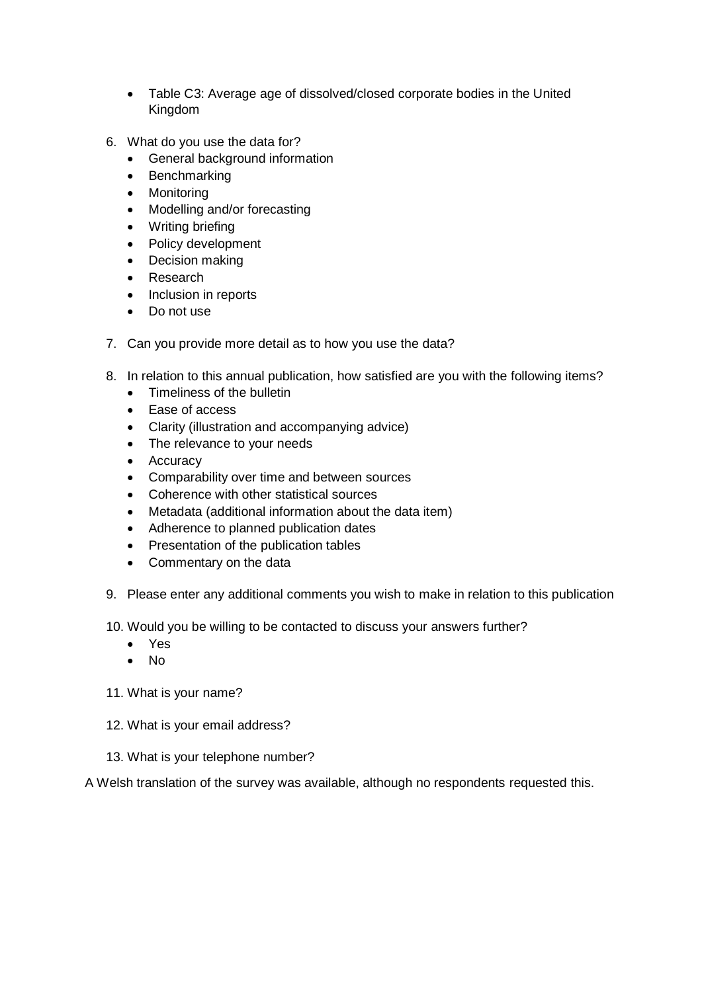- Table C3: Average age of dissolved/closed corporate bodies in the United Kingdom
- 6. What do you use the data for?
	- General background information
	- Benchmarking
	- Monitoring
	- Modelling and/or forecasting
	- Writing briefing
	- Policy development
	- Decision making
	- Research
	- Inclusion in reports
	- Do not use
- 7. Can you provide more detail as to how you use the data?
- 8. In relation to this annual publication, how satisfied are you with the following items?
	- Timeliness of the bulletin
	- Ease of access
	- Clarity (illustration and accompanying advice)
	- The relevance to your needs
	- Accuracy
	- Comparability over time and between sources
	- Coherence with other statistical sources
	- Metadata (additional information about the data item)
	- Adherence to planned publication dates
	- Presentation of the publication tables
	- Commentary on the data
- 9. Please enter any additional comments you wish to make in relation to this publication

10. Would you be willing to be contacted to discuss your answers further?

- Yes
- No
- 11. What is your name?
- 12. What is your email address?
- 13. What is your telephone number?

A Welsh translation of the survey was available, although no respondents requested this.